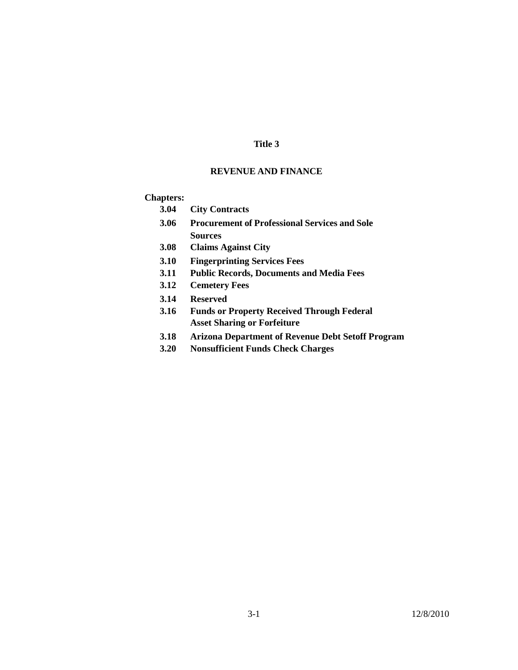### **Title 3**

### **REVENUE AND FINANCE**

### **Chapters:**

- **3.04 City Contracts**
- **3.06 Procurement of Professional Services and Sole Sources**
- **3.08 Claims Against City**
- **3.10 Fingerprinting Services Fees**
- **3.11 Public Records, Documents and Media Fees**
- **3.12 Cemetery Fees**
- **3.14 Reserved**
- **3.16 Funds or Property Received Through Federal Asset Sharing or Forfeiture**
- **3.18 Arizona Department of Revenue Debt Setoff Program**
- **3.20 Nonsufficient Funds Check Charges**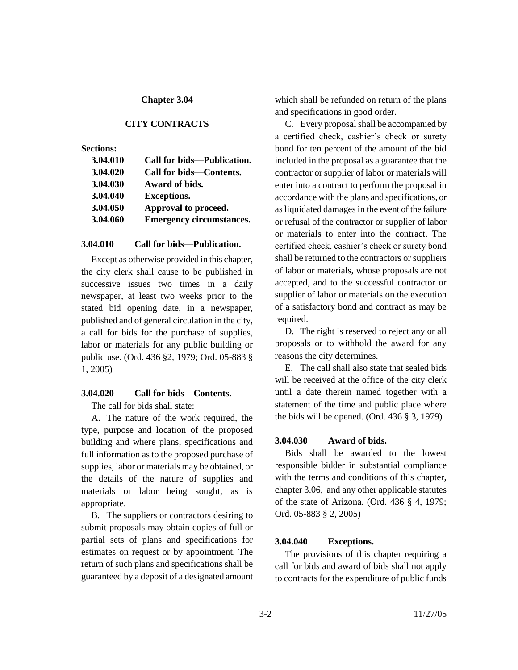### **CITY CONTRACTS**

### **Sections:**

| 3.04.010 | Call for bids—Publication.      |
|----------|---------------------------------|
| 3.04.020 | Call for bids-Contents.         |
| 3.04.030 | Award of bids.                  |
| 3.04.040 | <b>Exceptions.</b>              |
| 3.04.050 | Approval to proceed.            |
| 3.04.060 | <b>Emergency circumstances.</b> |
|          |                                 |

### **3.04.010 Call for bids—Publication.**

Except as otherwise provided in this chapter, the city clerk shall cause to be published in successive issues two times in a daily newspaper, at least two weeks prior to the stated bid opening date, in a newspaper, published and of general circulation in the city, a call for bids for the purchase of supplies, labor or materials for any public building or public use. (Ord. 436 §2, 1979; Ord. 05-883 § 1, 2005)

### **3.04.020 Call for bids—Contents.**

The call for bids shall state:

A. The nature of the work required, the type, purpose and location of the proposed building and where plans, specifications and full information as to the proposed purchase of supplies, labor or materials may be obtained, or the details of the nature of supplies and materials or labor being sought, as is appropriate.

B. The suppliers or contractors desiring to submit proposals may obtain copies of full or partial sets of plans and specifications for estimates on request or by appointment. The return of such plans and specifications shall be guaranteed by a deposit of a designated amount which shall be refunded on return of the plans and specifications in good order.

C. Every proposal shall be accompanied by a certified check, cashier's check or surety bond for ten percent of the amount of the bid included in the proposal as a guarantee that the contractor or supplier of labor or materials will enter into a contract to perform the proposal in accordance with the plans and specifications, or as liquidated damages in the event of the failure or refusal of the contractor or supplier of labor or materials to enter into the contract. The certified check, cashier's check or surety bond shall be returned to the contractors or suppliers of labor or materials, whose proposals are not accepted, and to the successful contractor or supplier of labor or materials on the execution of a satisfactory bond and contract as may be required.

D. The right is reserved to reject any or all proposals or to withhold the award for any reasons the city determines.

E. The call shall also state that sealed bids will be received at the office of the city clerk until a date therein named together with a statement of the time and public place where the bids will be opened. (Ord. 436 § 3, 1979)

#### **3.04.030 Award of bids.**

Bids shall be awarded to the lowest responsible bidder in substantial compliance with the terms and conditions of this chapter, chapter 3.06, and any other applicable statutes of the state of Arizona. (Ord. 436 § 4, 1979; Ord. 05-883 § 2, 2005)

### **3.04.040 Exceptions.**

The provisions of this chapter requiring a call for bids and award of bids shall not apply to contracts for the expenditure of public funds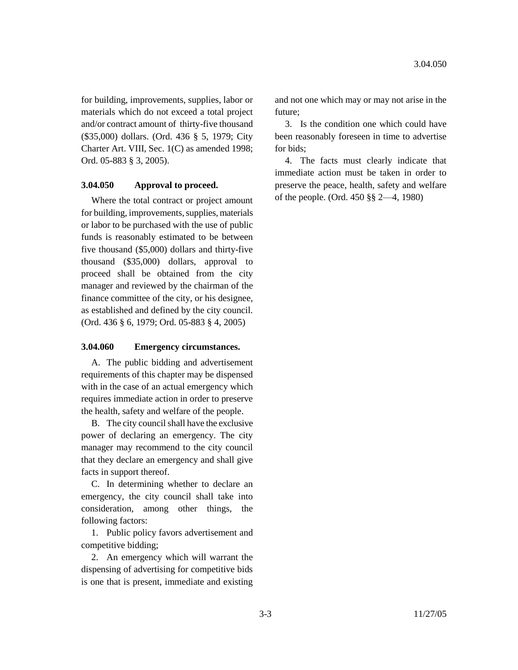for building, improvements, supplies, labor or materials which do not exceed a total project and/or contract amount of thirty-five thousand (\$35,000) dollars. (Ord. 436 § 5, 1979; City Charter Art. VIII, Sec. 1(C) as amended 1998; Ord. 05-883 § 3, 2005).

### **3.04.050 Approval to proceed.**

Where the total contract or project amount for building, improvements, supplies, materials or labor to be purchased with the use of public funds is reasonably estimated to be between five thousand (\$5,000) dollars and thirty-five thousand (\$35,000) dollars, approval to proceed shall be obtained from the city manager and reviewed by the chairman of the finance committee of the city, or his designee, as established and defined by the city council. (Ord. 436 § 6, 1979; Ord. 05-883 § 4, 2005)

### **3.04.060 Emergency circumstances.**

A. The public bidding and advertisement requirements of this chapter may be dispensed with in the case of an actual emergency which requires immediate action in order to preserve the health, safety and welfare of the people.

B. The city council shall have the exclusive power of declaring an emergency. The city manager may recommend to the city council that they declare an emergency and shall give facts in support thereof.

C. In determining whether to declare an emergency, the city council shall take into consideration, among other things, the following factors:

1. Public policy favors advertisement and competitive bidding;

2. An emergency which will warrant the dispensing of advertising for competitive bids is one that is present, immediate and existing and not one which may or may not arise in the future;

3. Is the condition one which could have been reasonably foreseen in time to advertise for bids;

4. The facts must clearly indicate that immediate action must be taken in order to preserve the peace, health, safety and welfare of the people. (Ord. 450 §§ 2—4, 1980)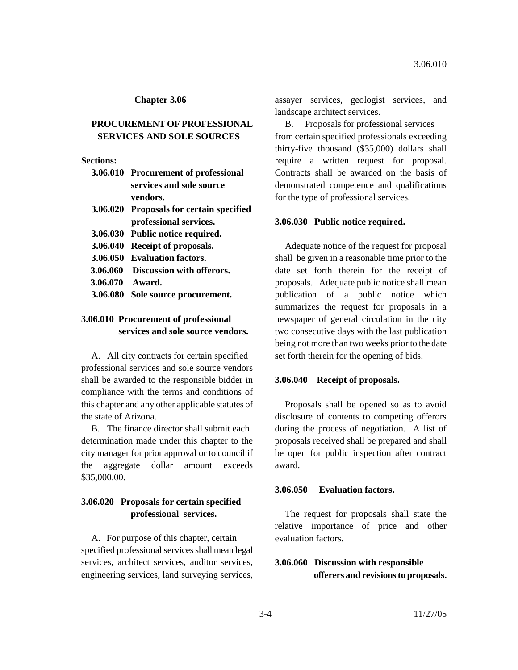## **PROCUREMENT OF PROFESSIONAL SERVICES AND SOLE SOURCES**

#### **Sections:**

| 3.06.010 Procurement of professional |
|--------------------------------------|
| services and sole source             |
| vendors.                             |

- **3.06.020 Proposals for certain specified professional services.**
- **3.06.030 Public notice required.**
- **3.06.040 Receipt of proposals.**
- **3.06.050 Evaluation factors.**
- **3.06.060 Discussion with offerors.**
- **3.06.070 Award.**
- **3.06.080 Sole source procurement.**

# **3.06.010 Procurement of professional services and sole source vendors.**

A. All city contracts for certain specified professional services and sole source vendors shall be awarded to the responsible bidder in compliance with the terms and conditions of this chapter and any other applicable statutes of the state of Arizona.

B. The finance director shall submit each determination made under this chapter to the city manager for prior approval or to council if the aggregate dollar amount exceeds \$35,000.00.

# **3.06.020 Proposals for certain specified professional services.**

A. For purpose of this chapter, certain specified professional services shall mean legal services, architect services, auditor services, engineering services, land surveying services, assayer services, geologist services, and landscape architect services.

B. Proposals for professional services from certain specified professionals exceeding thirty-five thousand (\$35,000) dollars shall require a written request for proposal. Contracts shall be awarded on the basis of demonstrated competence and qualifications for the type of professional services.

### **3.06.030 Public notice required.**

Adequate notice of the request for proposal shall be given in a reasonable time prior to the date set forth therein for the receipt of proposals. Adequate public notice shall mean publication of a public notice which summarizes the request for proposals in a newspaper of general circulation in the city two consecutive days with the last publication being not more than two weeks prior to the date set forth therein for the opening of bids.

#### **3.06.040 Receipt of proposals.**

Proposals shall be opened so as to avoid disclosure of contents to competing offerors during the process of negotiation. A list of proposals received shall be prepared and shall be open for public inspection after contract award.

#### **3.06.050 Evaluation factors.**

The request for proposals shall state the relative importance of price and other evaluation factors.

# **3.06.060 Discussion with responsible offerers and revisions to proposals.**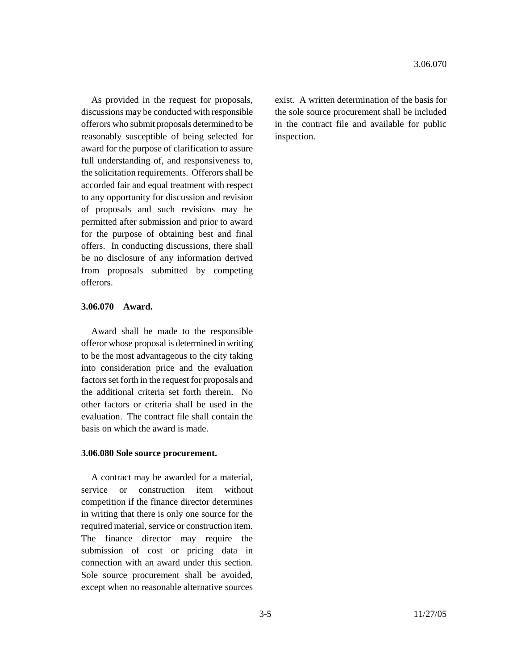As provided in the request for proposals, discussions may be conducted with responsible offerors who submit proposals determined to be reasonably susceptible of being selected for award for the purpose of clarification to assure full understanding of, and responsiveness to, the solicitation requirements. Offerors shall be accorded fair and equal treatment with respect to any opportunity for discussion and revision of proposals and such revisions may be permitted after submission and prior to award for the purpose of obtaining best and final offers. In conducting discussions, there shall be no disclosure of any information derived from proposals submitted by competing offerors.

## **3.06.070 Award.**

Award shall be made to the responsible offeror whose proposal is determined in writing to be the most advantageous to the city taking into consideration price and the evaluation factors set forth in the request for proposals and the additional criteria set forth therein. No other factors or criteria shall be used in the evaluation. The contract file shall contain the basis on which the award is made.

#### **3.06.080 Sole source procurement.**

A contract may be awarded for a material, service or construction item without competition if the finance director determines in writing that there is only one source for the required material, service or construction item. The finance director may require the submission of cost or pricing data in connection with an award under this section. Sole source procurement shall be avoided, except when no reasonable alternative sources exist. A written determination of the basis for the sole source procurement shall be included in the contract file and available for public inspection.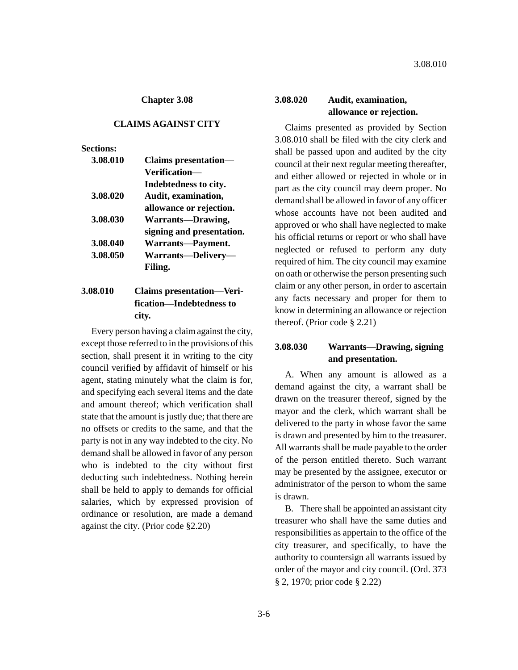### **CLAIMS AGAINST CITY**

### **Sections:**

| <b>Claims</b> presentation- |
|-----------------------------|
| Verification-               |
| Indebtedness to city.       |
| Audit, examination,         |
| allowance or rejection.     |
| <b>Warrants-Drawing,</b>    |
| signing and presentation.   |
| Warrants-Payment.           |
| Warrants-Delivery-          |
| Filing.                     |
|                             |

# **3.08.010 Claims presentation—Verification—Indebtedness to city.**

Every person having a claim against the city, except those referred to in the provisions of this section, shall present it in writing to the city council verified by affidavit of himself or his agent, stating minutely what the claim is for, and specifying each several items and the date and amount thereof; which verification shall state that the amount is justly due; that there are no offsets or credits to the same, and that the party is not in any way indebted to the city. No demand shall be allowed in favor of any person who is indebted to the city without first deducting such indebtedness. Nothing herein shall be held to apply to demands for official salaries, which by expressed provision of ordinance or resolution, are made a demand against the city. (Prior code §2.20)

# **3.08.020 Audit, examination, allowance or rejection.**

Claims presented as provided by Section 3.08.010 shall be filed with the city clerk and shall be passed upon and audited by the city council at their next regular meeting thereafter, and either allowed or rejected in whole or in part as the city council may deem proper. No demand shall be allowed in favor of any officer whose accounts have not been audited and approved or who shall have neglected to make his official returns or report or who shall have neglected or refused to perform any duty required of him. The city council may examine on oath or otherwise the person presenting such claim or any other person, in order to ascertain any facts necessary and proper for them to know in determining an allowance or rejection thereof. (Prior code § 2.21)

# **3.08.030 Warrants—Drawing, signing and presentation.**

A. When any amount is allowed as a demand against the city, a warrant shall be drawn on the treasurer thereof, signed by the mayor and the clerk, which warrant shall be delivered to the party in whose favor the same is drawn and presented by him to the treasurer. All warrants shall be made payable to the order of the person entitled thereto. Such warrant may be presented by the assignee, executor or administrator of the person to whom the same is drawn.

B. There shall be appointed an assistant city treasurer who shall have the same duties and responsibilities as appertain to the office of the city treasurer, and specifically, to have the authority to countersign all warrants issued by order of the mayor and city council. (Ord. 373 § 2, 1970; prior code § 2.22)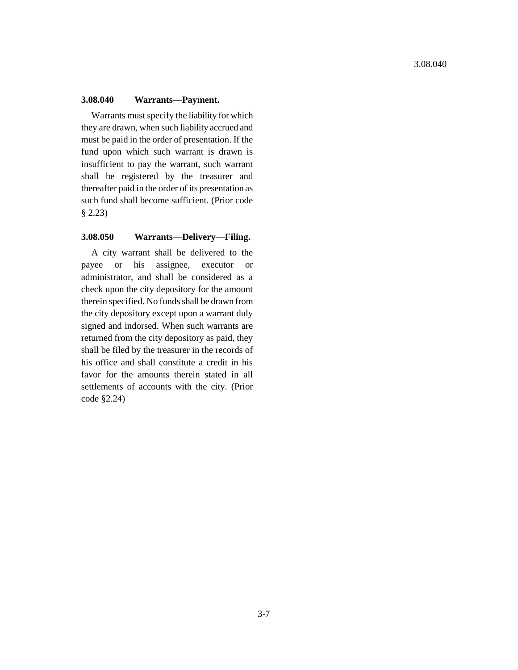### **3.08.040 Warrants—Payment.**

Warrants must specify the liability for which they are drawn, when such liability accrued and must be paid in the order of presentation. If the fund upon which such warrant is drawn is insufficient to pay the warrant, such warrant shall be registered by the treasurer and thereafter paid in the order of its presentation as such fund shall become sufficient. (Prior code § 2.23)

## **3.08.050 Warrants—Delivery—Filing.**

A city warrant shall be delivered to the payee or his assignee, executor or administrator, and shall be considered as a check upon the city depository for the amount therein specified. No funds shall be drawn from the city depository except upon a warrant duly signed and indorsed. When such warrants are returned from the city depository as paid, they shall be filed by the treasurer in the records of his office and shall constitute a credit in his favor for the amounts therein stated in all settlements of accounts with the city. (Prior code §2.24)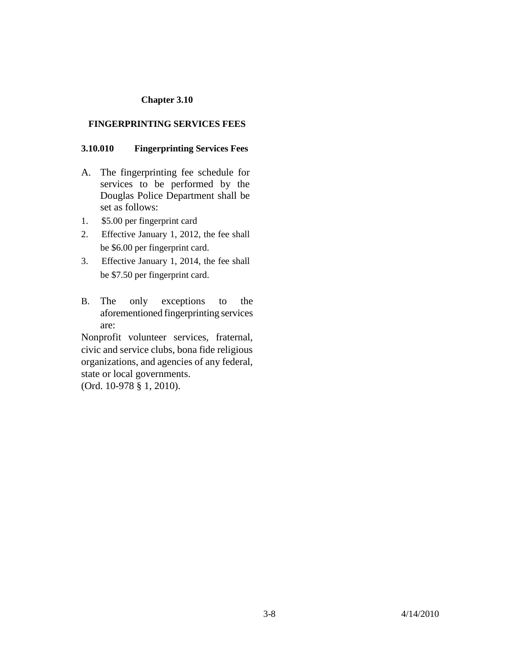## **FINGERPRINTING SERVICES FEES**

## **3.10.010 Fingerprinting Services Fees**

- A. The fingerprinting fee schedule for services to be performed by the Douglas Police Department shall be set as follows:
- 1. \$5.00 per fingerprint card
- 2. Effective January 1, 2012, the fee shall be \$6.00 per fingerprint card.
- 3. Effective January 1, 2014, the fee shall be \$7.50 per fingerprint card.
- B. The only exceptions to the aforementioned fingerprinting services are:

Nonprofit volunteer services, fraternal, civic and service clubs, bona fide religious organizations, and agencies of any federal, state or local governments. (Ord. 10-978 § 1, 2010).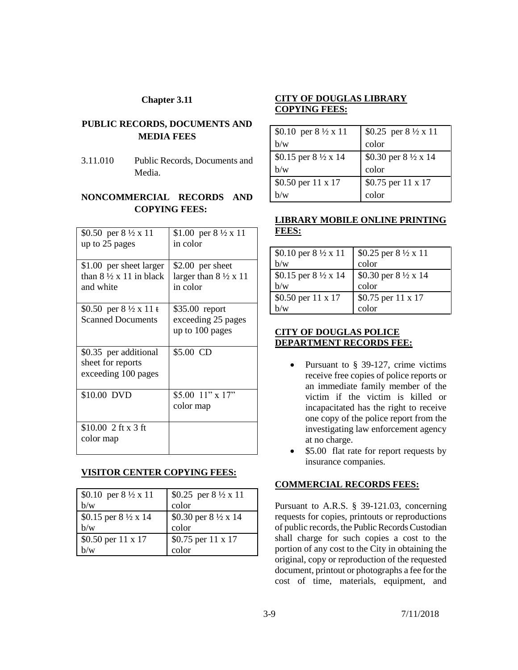# **PUBLIC RECORDS, DOCUMENTS AND MEDIA FEES**

3.11.010 Public Records, Documents and Media.

# **NONCOMMERCIAL RECORDS AND COPYING FEES:**

| \$0.50 per $8\frac{1}{2} \times 11$  | \$1.00 per $8\frac{1}{2}x$ 11        |
|--------------------------------------|--------------------------------------|
| up to 25 pages                       | in color                             |
|                                      |                                      |
| \$1.00 per sheet larger              | \$2.00 per sheet                     |
| than $8\frac{1}{2}x$ 11 in black     | larger than $8\frac{1}{2} \times 11$ |
| and white                            | in color                             |
|                                      |                                      |
| \$0.50 per $8\frac{1}{2} \times 11t$ | \$35.00 report                       |
| <b>Scanned Documents</b>             | exceeding 25 pages                   |
|                                      | up to 100 pages                      |
|                                      |                                      |
| \$0.35 per additional                | \$5.00 CD                            |
| sheet for reports                    |                                      |
| exceeding 100 pages                  |                                      |
|                                      |                                      |
| \$10.00 DVD                          | $$5.00$ 11" x 17"                    |
|                                      | color map                            |
|                                      |                                      |
| $$10.00$ 2 ft x 3 ft                 |                                      |
| color map                            |                                      |
|                                      |                                      |

## **VISITOR CENTER COPYING FEES:**

| \$0.10 per $8\frac{1}{2}x$ 11  | $\frac{\$0.25 \text{ per } 8 \frac{1}{2} \times 11}$ |
|--------------------------------|------------------------------------------------------|
| h/w                            | color                                                |
| \$0.15 per $8\frac{1}{2}$ x 14 | \$0.30 per 8 1/2 x 14                                |
| h/w                            | color                                                |
| \$0.50 per 11 x 17             | \$0.75 per 11 x 17                                   |
| n/w                            | color                                                |

# **CITY OF DOUGLAS LIBRARY COPYING FEES:**

| \$0.10 per $8\frac{1}{2}$ x 11 | \$0.25 per $8\frac{1}{2}$ x 11 |
|--------------------------------|--------------------------------|
| b/w                            | color                          |
| \$0.15 per $8\frac{1}{2}$ x 14 | \$0.30 per $8\frac{1}{2}$ x 14 |
| b/w                            | color                          |
| \$0.50 per 11 x 17             | \$0.75 per 11 x 17             |
|                                | color                          |

# **LIBRARY MOBILE ONLINE PRINTING FEES:**

| \$0.10 per $8\frac{1}{2} \times 11$ | $\frac{1}{2}$ \$0.25 per 8 ½ x 11 |
|-------------------------------------|-----------------------------------|
| b/w                                 | color                             |
| \$0.15 per 8 1/2 x 14               | \$0.30 per $8\frac{1}{2}$ x 14    |
| b/w                                 | color                             |
| \$0.50 per 11 x 17                  | \$0.75 per 11 x 17                |
| h/w                                 | color                             |

## **CITY OF DOUGLAS POLICE DEPARTMENT RECORDS FEE:**

- Pursuant to § 39-127, crime victims receive free copies of police reports or an immediate family member of the victim if the victim is killed or incapacitated has the right to receive one copy of the police report from the investigating law enforcement agency at no charge.
- \$5.00 flat rate for report requests by insurance companies.

## **COMMERCIAL RECORDS FEES:**

Pursuant to A.R.S. § 39-121.03, concerning requests for copies, printouts or reproductions of public records, the Public Records Custodian shall charge for such copies a cost to the portion of any cost to the City in obtaining the original, copy or reproduction of the requested document, printout or photographs a fee for the cost of time, materials, equipment, and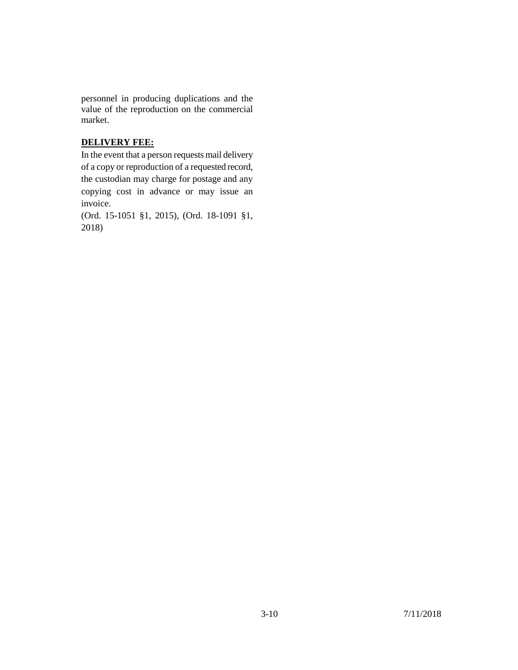personnel in producing duplications and the value of the reproduction on the commercial market.

# **DELIVERY FEE:**

In the event that a person requests mail delivery of a copy or reproduction of a requested record, the custodian may charge for postage and any copying cost in advance or may issue an invoice.

(Ord. 15-1051 §1, 2015), (Ord. 18-1091 §1, 2018)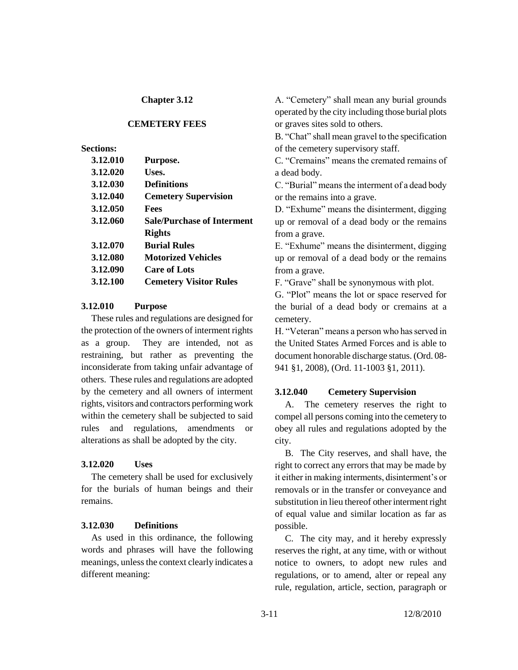### **CEMETERY FEES**

## **Sections:**

| 3.12.010 | Purpose.                          |
|----------|-----------------------------------|
| 3.12.020 | Uses.                             |
| 3.12.030 | <b>Definitions</b>                |
| 3.12.040 | <b>Cemetery Supervision</b>       |
| 3.12.050 | Fees                              |
| 3.12.060 | <b>Sale/Purchase of Interment</b> |
|          | <b>Rights</b>                     |
| 3.12.070 | <b>Burial Rules</b>               |
| 3.12.080 | <b>Motorized Vehicles</b>         |
| 3.12.090 | <b>Care of Lots</b>               |
| 3.12.100 | <b>Cemetery Visitor Rules</b>     |
|          |                                   |

### **3.12.010 Purpose**

These rules and regulations are designed for the protection of the owners of interment rights as a group. They are intended, not as restraining, but rather as preventing the inconsiderate from taking unfair advantage of others. These rules and regulations are adopted by the cemetery and all owners of interment rights, visitors and contractors performing work within the cemetery shall be subjected to said rules and regulations, amendments or alterations as shall be adopted by the city.

### **3.12.020 Uses**

The cemetery shall be used for exclusively for the burials of human beings and their remains.

### **3.12.030 Definitions**

As used in this ordinance, the following words and phrases will have the following meanings, unless the context clearly indicates a different meaning:

A. "Cemetery" shall mean any burial grounds operated by the city including those burial plots or graves sites sold to others.

B. "Chat" shall mean gravel to the specification of the cemetery supervisory staff.

C. "Cremains" means the cremated remains of a dead body.

C. "Burial" means the interment of a dead body or the remains into a grave.

D. "Exhume" means the disinterment, digging up or removal of a dead body or the remains from a grave.

E. "Exhume" means the disinterment, digging up or removal of a dead body or the remains from a grave.

F. "Grave" shall be synonymous with plot.

G. "Plot" means the lot or space reserved for the burial of a dead body or cremains at a cemetery.

H. "Veteran" means a person who has served in the United States Armed Forces and is able to document honorable discharge status. (Ord. 08- 941 §1, 2008), (Ord. 11-1003 §1, 2011).

### **3.12.040 Cemetery Supervision**

A. The cemetery reserves the right to compel all persons coming into the cemetery to obey all rules and regulations adopted by the city.

B. The City reserves, and shall have, the right to correct any errors that may be made by it either in making interments, disinterment's or removals or in the transfer or conveyance and substitution in lieu thereof other interment right of equal value and similar location as far as possible.

C. The city may, and it hereby expressly reserves the right, at any time, with or without notice to owners, to adopt new rules and regulations, or to amend, alter or repeal any rule, regulation, article, section, paragraph or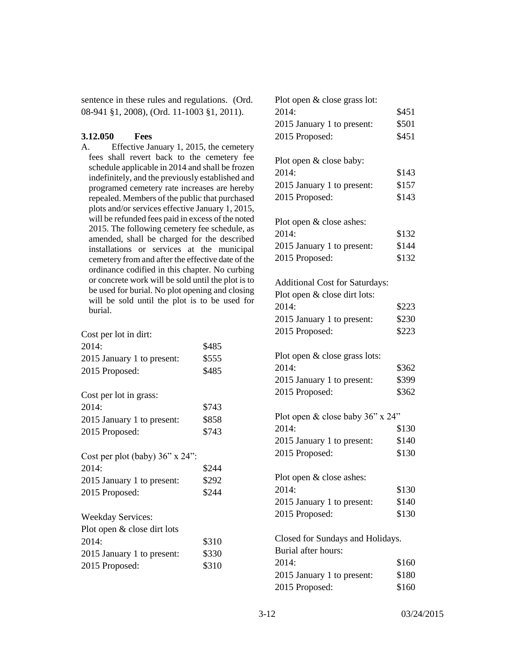sentence in these rules and regulations. (Ord. 08-941 §1, 2008), (Ord. 11-1003 §1, 2011).

## **3.12.050 Fees**

A. Effective January 1, 2015, the cemetery fees shall revert back to the cemetery fee schedule applicable in 2014 and shall be frozen indefinitely, and the previously established and programed cemetery rate increases are hereby repealed. Members of the public that purchased plots and/or services effective January 1, 2015, will be refunded fees paid in excess of the noted 2015. The following cemetery fee schedule, as amended, shall be charged for the described installations or services at the municipal cemetery from and after the effective date of the ordinance codified in this chapter. No curbing or concrete work will be sold until the plot is to be used for burial. No plot opening and closing will be sold until the plot is to be used for burial.

| Cost per lot in dirt:                 |       |
|---------------------------------------|-------|
| 2014:                                 | \$485 |
| 2015 January 1 to present:            | \$555 |
| 2015 Proposed:                        | \$485 |
|                                       |       |
| Cost per lot in grass:                |       |
| 2014:                                 | \$743 |
| 2015 January 1 to present:            | \$858 |
| 2015 Proposed:                        | \$743 |
|                                       |       |
|                                       |       |
| Cost per plot (baby) $36$ " x $24$ ": |       |
| 2014:                                 | \$244 |
| 2015 January 1 to present:            | \$292 |
| 2015 Proposed:                        | \$244 |
|                                       |       |
| <b>Weekday Services:</b>              |       |
| Plot open & close dirt lots           |       |
| 2014:                                 | \$310 |
| 2015 January 1 to present:            | \$330 |

| Plot open & close grass lot:          |       |
|---------------------------------------|-------|
| 2014:                                 | \$451 |
| 2015 January 1 to present:            | \$501 |
| 2015 Proposed:                        | \$451 |
|                                       |       |
| Plot open & close baby:               |       |
| 2014:                                 | \$143 |
| 2015 January 1 to present:            | \$157 |
| 2015 Proposed:                        | \$143 |
|                                       |       |
| Plot open & close ashes:              |       |
| 2014:                                 | \$132 |
| 2015 January 1 to present:            | \$144 |
| 2015 Proposed:                        | \$132 |
|                                       |       |
| <b>Additional Cost for Saturdays:</b> |       |
| Plot open & close dirt lots:          |       |
| 2014:                                 | \$223 |
| 2015 January 1 to present:            | \$230 |
| 2015 Proposed:                        | \$223 |
| Plot open & close grass lots:         |       |
| 2014:                                 | \$362 |
| 2015 January 1 to present:            | \$399 |
| 2015 Proposed:                        | \$362 |
|                                       |       |
| Plot open & close baby 36" x 24"      |       |
| 2014:                                 | \$130 |
| 2015 January 1 to present:            | \$140 |
| 2015 Proposed:                        | \$130 |
|                                       |       |
| Plot open & close ashes:<br>2014:     | \$130 |
|                                       | \$140 |
| 2015 January 1 to present:            |       |
| 2015 Proposed:                        | \$130 |
| Closed for Sundays and Holidays.      |       |
| Burial after hours:                   |       |
| 2014:                                 | \$160 |
| 2015 January 1 to present:            | \$180 |
| 2015 Proposed:                        | \$160 |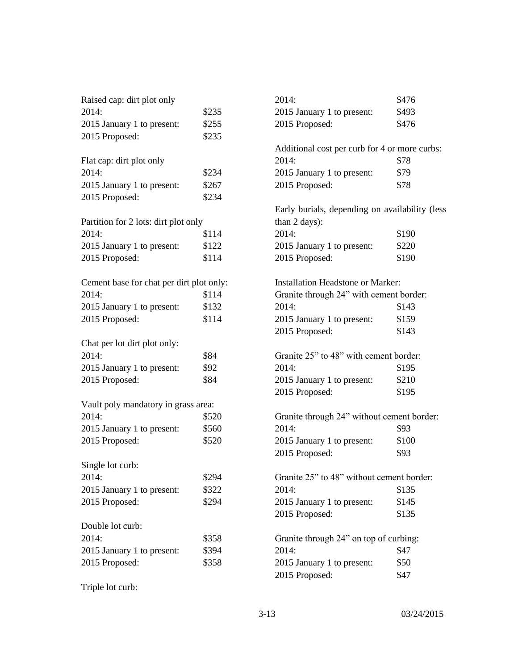| Raised cap: dirt plot only               |       | 2014:                                          | \$476 |  |
|------------------------------------------|-------|------------------------------------------------|-------|--|
| 2014:                                    | \$235 | 2015 January 1 to present:                     | \$493 |  |
| 2015 January 1 to present:               | \$255 | 2015 Proposed:                                 | \$476 |  |
| 2015 Proposed:                           | \$235 |                                                |       |  |
|                                          |       | Additional cost per curb for 4 or more curbs:  |       |  |
| Flat cap: dirt plot only                 |       | 2014:                                          | \$78  |  |
| 2014:                                    | \$234 | 2015 January 1 to present:                     | \$79  |  |
| 2015 January 1 to present:               | \$267 | 2015 Proposed:                                 | \$78  |  |
| 2015 Proposed:                           | \$234 |                                                |       |  |
|                                          |       | Early burials, depending on availability (less |       |  |
| Partition for 2 lots: dirt plot only     |       | than 2 days):                                  |       |  |
| 2014:                                    | \$114 | 2014:                                          | \$190 |  |
| 2015 January 1 to present:               | \$122 | 2015 January 1 to present:                     | \$220 |  |
| 2015 Proposed:                           | \$114 | 2015 Proposed:                                 | \$190 |  |
| Cement base for chat per dirt plot only: |       | <b>Installation Headstone or Marker:</b>       |       |  |
| 2014:                                    | \$114 | Granite through 24" with cement border:        |       |  |
| 2015 January 1 to present:               | \$132 | 2014:                                          | \$143 |  |
| 2015 Proposed:                           | \$114 | 2015 January 1 to present:                     | \$159 |  |
|                                          |       | 2015 Proposed:                                 | \$143 |  |
| Chat per lot dirt plot only:             |       |                                                |       |  |
| 2014:                                    | \$84  | Granite 25" to 48" with cement border:         |       |  |
| 2015 January 1 to present:               | \$92  | 2014:                                          | \$195 |  |
| 2015 Proposed:                           | \$84  | 2015 January 1 to present:                     | \$210 |  |
|                                          |       | 2015 Proposed:                                 | \$195 |  |
| Vault poly mandatory in grass area:      |       |                                                |       |  |
| 2014:                                    | \$520 | Granite through 24" without cement border:     |       |  |
| 2015 January 1 to present:               | \$560 | 2014:                                          | \$93  |  |
| 2015 Proposed:                           | \$520 | 2015 January 1 to present:                     | \$100 |  |
|                                          |       | 2015 Proposed:                                 | \$93  |  |
| Single lot curb:                         |       |                                                |       |  |
| 2014:                                    | \$294 | Granite 25" to 48" without cement border:      |       |  |
| 2015 January 1 to present:               | \$322 | 2014:                                          | \$135 |  |
| 2015 Proposed:                           | \$294 | 2015 January 1 to present:                     | \$145 |  |
|                                          |       | 2015 Proposed:                                 | \$135 |  |
| Double lot curb:                         |       |                                                |       |  |
| 2014:                                    | \$358 | Granite through 24" on top of curbing:         |       |  |
| 2015 January 1 to present:               | \$394 | 2014:                                          | \$47  |  |
| 2015 Proposed:                           | \$358 | 2015 January 1 to present:                     | \$50  |  |
|                                          |       | 2015 Proposed:                                 | \$47  |  |
|                                          |       |                                                |       |  |

Triple lot curb: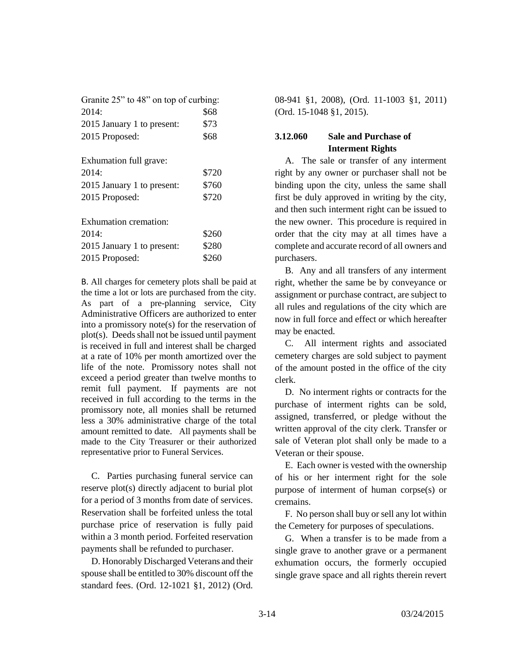| Granite 25" to 48" on top of curbing: |       |  |
|---------------------------------------|-------|--|
| 2014:                                 | \$68  |  |
| 2015 January 1 to present:            | \$73  |  |
| 2015 Proposed:                        | \$68  |  |
|                                       |       |  |
| Exhumation full grave:                |       |  |
| 2014:                                 | \$720 |  |
| 2015 January 1 to present:            | \$760 |  |
| 2015 Proposed:                        | \$720 |  |
|                                       |       |  |
| Exhumation cremation:                 |       |  |
| 2014:                                 | \$260 |  |
| 2015 January 1 to present:            | \$280 |  |
| 2015 Proposed:                        | \$260 |  |
|                                       |       |  |

B. All charges for cemetery plots shall be paid at the time a lot or lots are purchased from the city. As part of a pre-planning service, City Administrative Officers are authorized to enter into a promissory note(s) for the reservation of plot(s). Deeds shall not be issued until payment is received in full and interest shall be charged at a rate of 10% per month amortized over the life of the note. Promissory notes shall not exceed a period greater than twelve months to remit full payment. If payments are not received in full according to the terms in the promissory note, all monies shall be returned less a 30% administrative charge of the total amount remitted to date. All payments shall be made to the City Treasurer or their authorized representative prior to Funeral Services.

C. Parties purchasing funeral service can reserve plot(s) directly adjacent to burial plot for a period of 3 months from date of services. Reservation shall be forfeited unless the total purchase price of reservation is fully paid within a 3 month period. Forfeited reservation payments shall be refunded to purchaser.

D. Honorably Discharged Veterans and their spouse shall be entitled to 30% discount off the standard fees. (Ord. 12-1021 §1, 2012) (Ord.

08-941 §1, 2008), (Ord. 11-1003 §1, 2011) (Ord. 15-1048 §1, 2015).

# **3.12.060 Sale and Purchase of Interment Rights**

A. The sale or transfer of any interment right by any owner or purchaser shall not be binding upon the city, unless the same shall first be duly approved in writing by the city, and then such interment right can be issued to the new owner. This procedure is required in order that the city may at all times have a complete and accurate record of all owners and purchasers.

B. Any and all transfers of any interment right, whether the same be by conveyance or assignment or purchase contract, are subject to all rules and regulations of the city which are now in full force and effect or which hereafter may be enacted.

C. All interment rights and associated cemetery charges are sold subject to payment of the amount posted in the office of the city clerk.

D. No interment rights or contracts for the purchase of interment rights can be sold, assigned, transferred, or pledge without the written approval of the city clerk. Transfer or sale of Veteran plot shall only be made to a Veteran or their spouse.

E. Each owner is vested with the ownership of his or her interment right for the sole purpose of interment of human corpse(s) or cremains.

F. No person shall buy or sell any lot within the Cemetery for purposes of speculations.

G. When a transfer is to be made from a single grave to another grave or a permanent exhumation occurs, the formerly occupied single grave space and all rights therein revert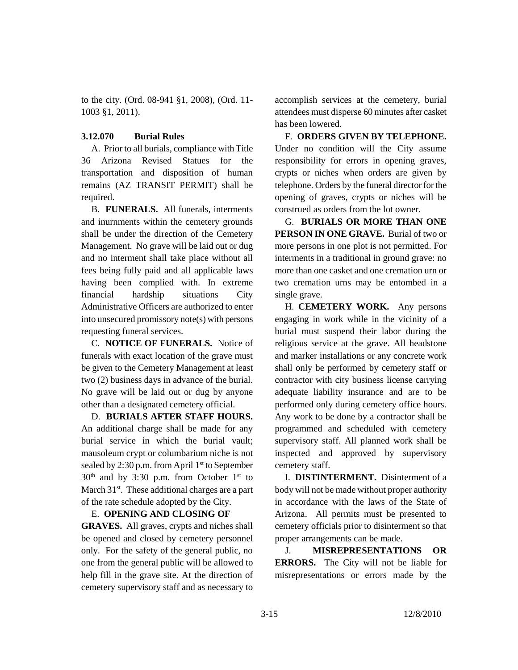to the city. (Ord. 08-941 §1, 2008), (Ord. 11- 1003 §1, 2011).

## **3.12.070 Burial Rules**

A. Prior to all burials, compliance with Title 36 Arizona Revised Statues for the transportation and disposition of human remains (AZ TRANSIT PERMIT) shall be required.

B. **FUNERALS.** All funerals, interments and inurnments within the cemetery grounds shall be under the direction of the Cemetery Management. No grave will be laid out or dug and no interment shall take place without all fees being fully paid and all applicable laws having been complied with. In extreme financial hardship situations City Administrative Officers are authorized to enter into unsecured promissory note(s) with persons requesting funeral services.

C. **NOTICE OF FUNERALS.** Notice of funerals with exact location of the grave must be given to the Cemetery Management at least two (2) business days in advance of the burial. No grave will be laid out or dug by anyone other than a designated cemetery official.

D. **BURIALS AFTER STAFF HOURS.** An additional charge shall be made for any burial service in which the burial vault; mausoleum crypt or columbarium niche is not sealed by 2:30 p.m. from April  $1<sup>st</sup>$  to September  $30<sup>th</sup>$  and by 3:30 p.m. from October 1<sup>st</sup> to March 31<sup>st</sup>. These additional charges are a part of the rate schedule adopted by the City.

### E. **OPENING AND CLOSING OF**

**GRAVES.** All graves, crypts and niches shall be opened and closed by cemetery personnel only. For the safety of the general public, no one from the general public will be allowed to help fill in the grave site. At the direction of cemetery supervisory staff and as necessary to accomplish services at the cemetery, burial attendees must disperse 60 minutes after casket has been lowered.

F. **ORDERS GIVEN BY TELEPHONE.** Under no condition will the City assume responsibility for errors in opening graves, crypts or niches when orders are given by telephone. Orders by the funeral director for the opening of graves, crypts or niches will be construed as orders from the lot owner.

G. **BURIALS OR MORE THAN ONE PERSON IN ONE GRAVE.** Burial of two or more persons in one plot is not permitted. For interments in a traditional in ground grave: no more than one casket and one cremation urn or two cremation urns may be entombed in a single grave.

H. **CEMETERY WORK.** Any persons engaging in work while in the vicinity of a burial must suspend their labor during the religious service at the grave. All headstone and marker installations or any concrete work shall only be performed by cemetery staff or contractor with city business license carrying adequate liability insurance and are to be performed only during cemetery office hours. Any work to be done by a contractor shall be programmed and scheduled with cemetery supervisory staff. All planned work shall be inspected and approved by supervisory cemetery staff.

I. **DISTINTERMENT.** Disinterment of a body will not be made without proper authority in accordance with the laws of the State of Arizona. All permits must be presented to cemetery officials prior to disinterment so that proper arrangements can be made.

J. **MISREPRESENTATIONS OR ERRORS.** The City will not be liable for misrepresentations or errors made by the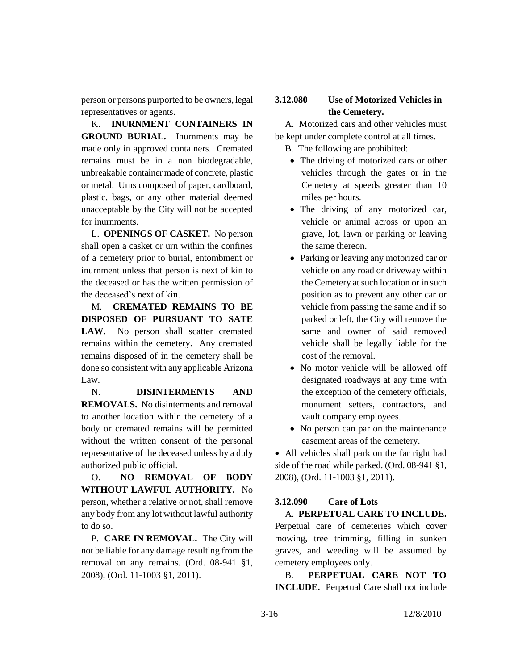person or persons purported to be owners, legal representatives or agents.

K. **INURNMENT CONTAINERS IN GROUND BURIAL.** Inurnments may be made only in approved containers. Cremated remains must be in a non biodegradable, unbreakable container made of concrete, plastic or metal. Urns composed of paper, cardboard, plastic, bags, or any other material deemed unacceptable by the City will not be accepted for inurnments.

L. **OPENINGS OF CASKET.** No person shall open a casket or urn within the confines of a cemetery prior to burial, entombment or inurnment unless that person is next of kin to the deceased or has the written permission of the deceased's next of kin.

M. **CREMATED REMAINS TO BE DISPOSED OF PURSUANT TO SATE**  LAW. No person shall scatter cremated remains within the cemetery. Any cremated remains disposed of in the cemetery shall be done so consistent with any applicable Arizona Law.

N. **DISINTERMENTS AND REMOVALS.** No disinterments and removal to another location within the cemetery of a body or cremated remains will be permitted without the written consent of the personal representative of the deceased unless by a duly authorized public official.

O. **NO REMOVAL OF BODY WITHOUT LAWFUL AUTHORITY.** No person, whether a relative or not, shall remove any body from any lot without lawful authority to do so.

P. **CARE IN REMOVAL.** The City will not be liable for any damage resulting from the removal on any remains. (Ord. 08-941 §1, 2008), (Ord. 11-1003 §1, 2011).

# **3.12.080 Use of Motorized Vehicles in the Cemetery.**

A. Motorized cars and other vehicles must be kept under complete control at all times.

B. The following are prohibited:

- The driving of motorized cars or other vehicles through the gates or in the Cemetery at speeds greater than 10 miles per hours.
- The driving of any motorized car, vehicle or animal across or upon an grave, lot, lawn or parking or leaving the same thereon.
- Parking or leaving any motorized car or vehicle on any road or driveway within the Cemetery at such location or in such position as to prevent any other car or vehicle from passing the same and if so parked or left, the City will remove the same and owner of said removed vehicle shall be legally liable for the cost of the removal.
- No motor vehicle will be allowed off designated roadways at any time with the exception of the cemetery officials, monument setters, contractors, and vault company employees.
- No person can par on the maintenance easement areas of the cemetery.

• All vehicles shall park on the far right had side of the road while parked. (Ord. 08-941 §1, 2008), (Ord. 11-1003 §1, 2011).

# **3.12.090 Care of Lots** A. **PERPETUAL CARE TO INCLUDE.**

Perpetual care of cemeteries which cover mowing, tree trimming, filling in sunken graves, and weeding will be assumed by cemetery employees only.

B. **PERPETUAL CARE NOT TO INCLUDE.** Perpetual Care shall not include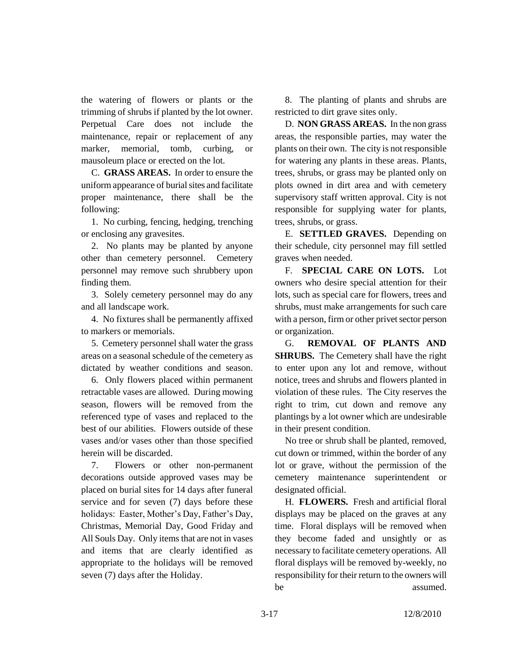the watering of flowers or plants or the trimming of shrubs if planted by the lot owner. Perpetual Care does not include the maintenance, repair or replacement of any marker, memorial, tomb, curbing, or mausoleum place or erected on the lot.

C. **GRASS AREAS.** In order to ensure the uniform appearance of burial sites and facilitate proper maintenance, there shall be the following:

1. No curbing, fencing, hedging, trenching or enclosing any gravesites.

2. No plants may be planted by anyone other than cemetery personnel. Cemetery personnel may remove such shrubbery upon finding them.

3. Solely cemetery personnel may do any and all landscape work.

4. No fixtures shall be permanently affixed to markers or memorials.

5. Cemetery personnel shall water the grass areas on a seasonal schedule of the cemetery as dictated by weather conditions and season.

6. Only flowers placed within permanent retractable vases are allowed. During mowing season, flowers will be removed from the referenced type of vases and replaced to the best of our abilities. Flowers outside of these vases and/or vases other than those specified herein will be discarded.

7. Flowers or other non-permanent decorations outside approved vases may be placed on burial sites for 14 days after funeral service and for seven (7) days before these holidays: Easter, Mother's Day, Father's Day, Christmas, Memorial Day, Good Friday and All Souls Day. Only items that are not in vases and items that are clearly identified as appropriate to the holidays will be removed seven (7) days after the Holiday.

8. The planting of plants and shrubs are restricted to dirt grave sites only.

D. **NON GRASS AREAS.** In the non grass areas, the responsible parties, may water the plants on their own. The city is not responsible for watering any plants in these areas. Plants, trees, shrubs, or grass may be planted only on plots owned in dirt area and with cemetery supervisory staff written approval. City is not responsible for supplying water for plants, trees, shrubs, or grass.

E. **SETTLED GRAVES.** Depending on their schedule, city personnel may fill settled graves when needed.

F. **SPECIAL CARE ON LOTS.** Lot owners who desire special attention for their lots, such as special care for flowers, trees and shrubs, must make arrangements for such care with a person, firm or other privet sector person or organization.

G. **REMOVAL OF PLANTS AND SHRUBS.** The Cemetery shall have the right to enter upon any lot and remove, without notice, trees and shrubs and flowers planted in violation of these rules. The City reserves the right to trim, cut down and remove any plantings by a lot owner which are undesirable in their present condition.

No tree or shrub shall be planted, removed, cut down or trimmed, within the border of any lot or grave, without the permission of the cemetery maintenance superintendent or designated official.

H. **FLOWERS.** Fresh and artificial floral displays may be placed on the graves at any time. Floral displays will be removed when they become faded and unsightly or as necessary to facilitate cemetery operations. All floral displays will be removed by-weekly, no responsibility for their return to the owners will be assumed.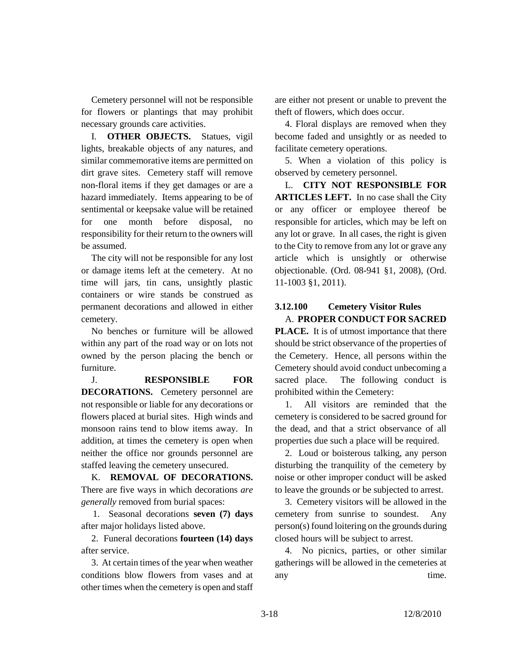Cemetery personnel will not be responsible for flowers or plantings that may prohibit necessary grounds care activities.

I. **OTHER OBJECTS.** Statues, vigil lights, breakable objects of any natures, and similar commemorative items are permitted on dirt grave sites. Cemetery staff will remove non-floral items if they get damages or are a hazard immediately. Items appearing to be of sentimental or keepsake value will be retained for one month before disposal, no responsibility for their return to the owners will be assumed.

The city will not be responsible for any lost or damage items left at the cemetery. At no time will jars, tin cans, unsightly plastic containers or wire stands be construed as permanent decorations and allowed in either cemetery.

No benches or furniture will be allowed within any part of the road way or on lots not owned by the person placing the bench or furniture.

J. **RESPONSIBLE FOR DECORATIONS.** Cemetery personnel are not responsible or liable for any decorations or flowers placed at burial sites. High winds and monsoon rains tend to blow items away. In addition, at times the cemetery is open when neither the office nor grounds personnel are staffed leaving the cemetery unsecured.

K. **REMOVAL OF DECORATIONS.**  There are five ways in which decorations *are generally* removed from burial spaces:

 1. Seasonal decorations **seven (7) days** after major holidays listed above.

2. Funeral decorations **fourteen (14) days** after service.

3. At certain times of the year when weather conditions blow flowers from vases and at other times when the cemetery is open and staff

are either not present or unable to prevent the theft of flowers, which does occur.

4. Floral displays are removed when they become faded and unsightly or as needed to facilitate cemetery operations.

5. When a violation of this policy is observed by cemetery personnel.

L. **CITY NOT RESPONSIBLE FOR ARTICLES LEFT.** In no case shall the City or any officer or employee thereof be responsible for articles, which may be left on any lot or grave. In all cases, the right is given to the City to remove from any lot or grave any article which is unsightly or otherwise objectionable. (Ord. 08-941 §1, 2008), (Ord. 11-1003 §1, 2011).

# **3.12.100 Cemetery Visitor Rules** A. **PROPER CONDUCT FOR SACRED**

**PLACE.** It is of utmost importance that there should be strict observance of the properties of the Cemetery. Hence, all persons within the Cemetery should avoid conduct unbecoming a sacred place. The following conduct is prohibited within the Cemetery:

1. All visitors are reminded that the cemetery is considered to be sacred ground for the dead, and that a strict observance of all properties due such a place will be required.

2. Loud or boisterous talking, any person disturbing the tranquility of the cemetery by noise or other improper conduct will be asked to leave the grounds or be subjected to arrest.

3. Cemetery visitors will be allowed in the cemetery from sunrise to soundest. Any person(s) found loitering on the grounds during closed hours will be subject to arrest.

4. No picnics, parties, or other similar gatherings will be allowed in the cemeteries at any time.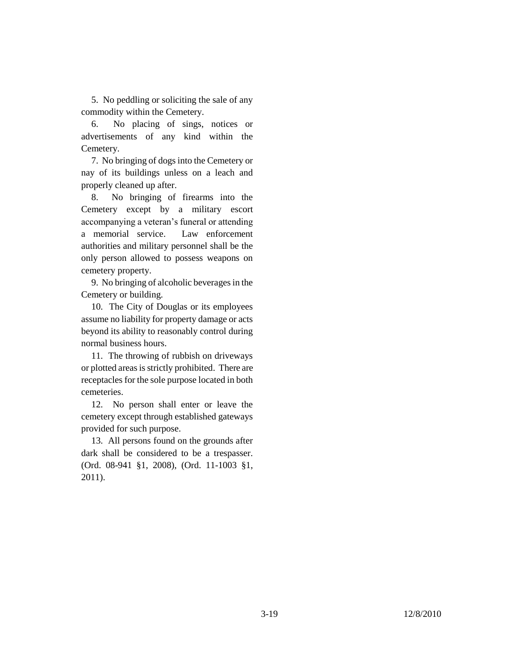5. No peddling or soliciting the sale of any commodity within the Cemetery.

6. No placing of sings, notices or advertisements of any kind within the Cemetery.

7. No bringing of dogs into the Cemetery or nay of its buildings unless on a leach and properly cleaned up after.

8. No bringing of firearms into the Cemetery except by a military escort accompanying a veteran's funeral or attending a memorial service. Law enforcement authorities and military personnel shall be the only person allowed to possess weapons on cemetery property.

9. No bringing of alcoholic beverages in the Cemetery or building.

10. The City of Douglas or its employees assume no liability for property damage or acts beyond its ability to reasonably control during normal business hours.

11. The throwing of rubbish on driveways or plotted areas is strictly prohibited. There are receptacles for the sole purpose located in both cemeteries.

12. No person shall enter or leave the cemetery except through established gateways provided for such purpose.

13. All persons found on the grounds after dark shall be considered to be a trespasser. (Ord. 08-941 §1, 2008), (Ord. 11-1003 §1, 2011).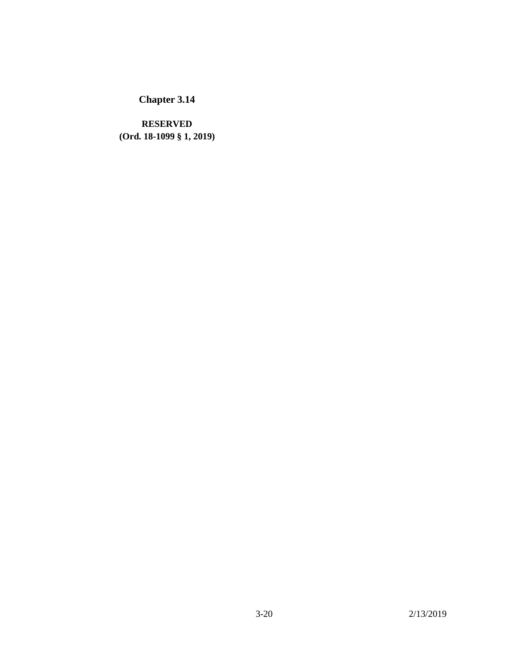**RESERVED (Ord. 18-1099 § 1, 2019)**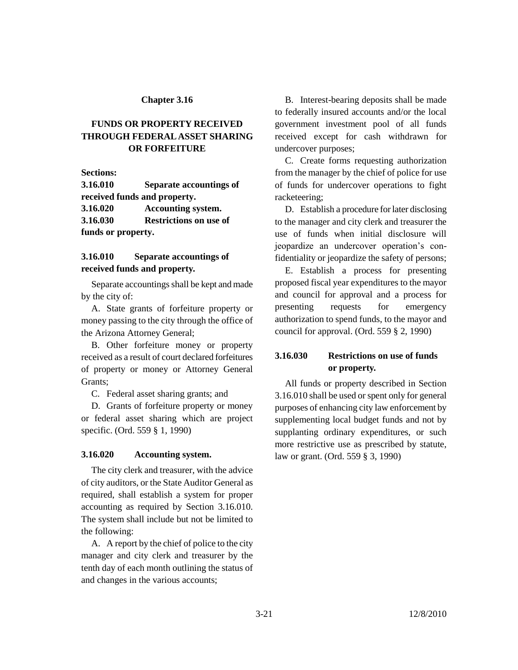# **FUNDS OR PROPERTY RECEIVED THROUGH FEDERAL ASSET SHARING OR FORFEITURE**

**Sections:**

**3.16.010 Separate accountings of received funds and property. 3.16.020 Accounting system. 3.16.030 Restrictions on use of funds or property.**

**3.16.010 Separate accountings of** 

**received funds and property.**

Separate accountings shall be kept and made by the city of:

A. State grants of forfeiture property or money passing to the city through the office of the Arizona Attorney General;

B. Other forfeiture money or property received as a result of court declared forfeitures of property or money or Attorney General Grants;

C. Federal asset sharing grants; and

D. Grants of forfeiture property or money or federal asset sharing which are project specific. (Ord. 559 § 1, 1990)

### **3.16.020 Accounting system.**

The city clerk and treasurer, with the advice of city auditors, or the State Auditor General as required, shall establish a system for proper accounting as required by Section 3.16.010. The system shall include but not be limited to the following:

A. A report by the chief of police to the city manager and city clerk and treasurer by the tenth day of each month outlining the status of and changes in the various accounts;

B. Interest-bearing deposits shall be made to federally insured accounts and/or the local government investment pool of all funds received except for cash withdrawn for undercover purposes;

C. Create forms requesting authorization from the manager by the chief of police for use of funds for undercover operations to fight racketeering;

D. Establish a procedure for later disclosing to the manager and city clerk and treasurer the use of funds when initial disclosure will jeopardize an undercover operation's confidentiality or jeopardize the safety of persons;

E. Establish a process for presenting proposed fiscal year expenditures to the mayor and council for approval and a process for presenting requests for emergency authorization to spend funds, to the mayor and council for approval. (Ord. 559 § 2, 1990)

# **3.16.030 Restrictions on use of funds or property.**

All funds or property described in Section 3.16.010 shall be used or spent only for general purposes of enhancing city law enforcement by supplementing local budget funds and not by supplanting ordinary expenditures, or such more restrictive use as prescribed by statute, law or grant. (Ord. 559 § 3, 1990)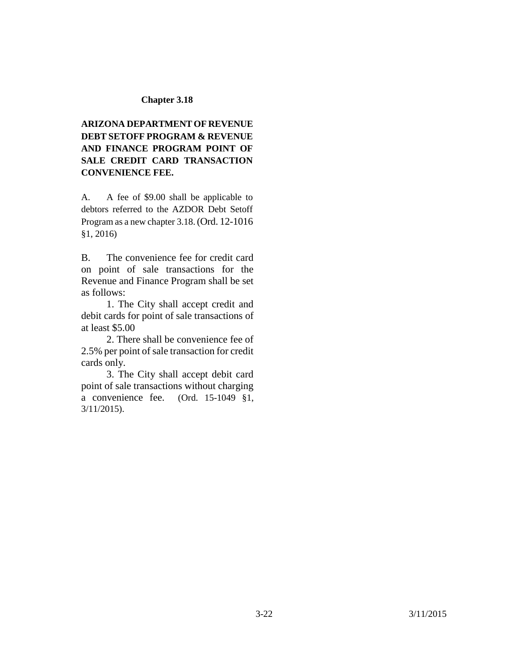# **ARIZONA DEPARTMENT OF REVENUE DEBT SETOFF PROGRAM & REVENUE AND FINANCE PROGRAM POINT OF SALE CREDIT CARD TRANSACTION CONVENIENCE FEE.**

A. A fee of \$9.00 shall be applicable to debtors referred to the AZDOR Debt Setoff Program as a new chapter 3.18.(Ord. 12-1016 §1, 2016)

B. The convenience fee for credit card on point of sale transactions for the Revenue and Finance Program shall be set as follows:

1. The City shall accept credit and debit cards for point of sale transactions of at least \$5.00

2. There shall be convenience fee of 2.5% per point of sale transaction for credit cards only.

3. The City shall accept debit card point of sale transactions without charging a convenience fee. (Ord. 15-1049 §1, 3/11/2015).